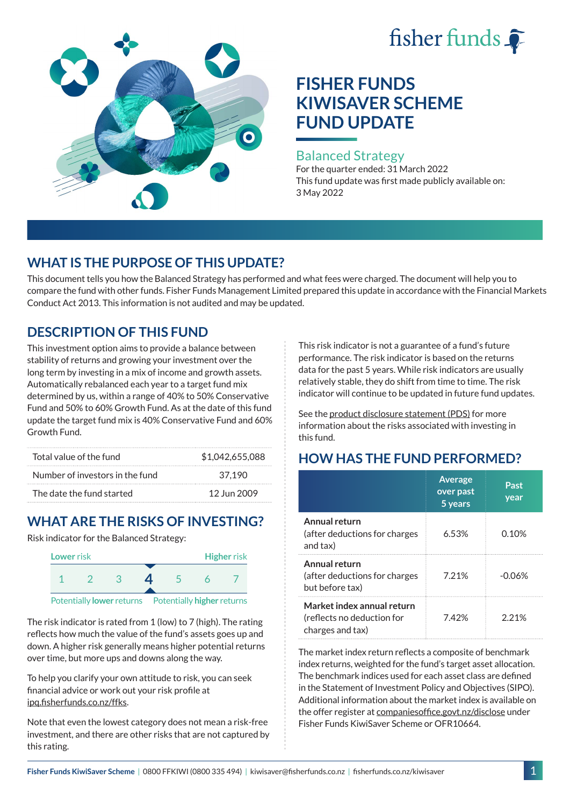# fisher funds



## **FISHER FUNDS KIWISAVER SCHEME FUND UPDATE**

#### Balanced Strategy

For the quarter ended: 31 March 2022 This fund update was first made publicly available on: 3 May 2022

## **WHAT IS THE PURPOSE OF THIS UPDATE?**

This document tells you how the Balanced Strategy has performed and what fees were charged. The document will help you to compare the fund with other funds. Fisher Funds Management Limited prepared this update in accordance with the Financial Markets Conduct Act 2013. This information is not audited and may be updated.

## **DESCRIPTION OF THIS FUND**

This investment option aims to provide a balance between stability of returns and growing your investment over the long term by investing in a mix of income and growth assets. Automatically rebalanced each year to a target fund mix determined by us, within a range of 40% to 50% Conservative Fund and 50% to 60% Growth Fund. As at the date of this fund update the target fund mix is 40% Conservative Fund and 60% Growth Fund.

| Total value of the fund         | \$1.042.655.088 |
|---------------------------------|-----------------|
| Number of investors in the fund | 37.190          |
| The date the fund started       | 12 Jun 2009     |

## **WHAT ARE THE RISKS OF INVESTING?**

Risk indicator for the Balanced Strategy:



The risk indicator is rated from 1 (low) to 7 (high). The rating reflects how much the value of the fund's assets goes up and down. A higher risk generally means higher potential returns over time, but more ups and downs along the way.

To help you clarify your own attitude to risk, you can seek financial advice or work out your risk profile at [ipq.fisherfunds.co.nz/ffks](https://ipq.fisherfunds.co.nz/ffks).

Note that even the lowest category does not mean a risk-free investment, and there are other risks that are not captured by this rating.

This risk indicator is not a guarantee of a fund's future performance. The risk indicator is based on the returns data for the past 5 years. While risk indicators are usually relatively stable, they do shift from time to time. The risk indicator will continue to be updated in future fund updates.

See the [product disclosure statement \(PDS\)](https://fisherfunds.co.nz/assets/PDS/Fisher-Funds-KiwiSaver-Scheme-PDS.pdf) for more information about the risks associated with investing in this fund.

## **HOW HAS THE FUND PERFORMED?**

|                                                                              | <b>Average</b><br>over past<br>5 years | Past<br>year |
|------------------------------------------------------------------------------|----------------------------------------|--------------|
| Annual return<br>(after deductions for charges<br>and tax)                   | 6.53%                                  | 0.10%        |
| Annual return<br>(after deductions for charges<br>but before tax)            | 7.21%                                  | -0.06%       |
| Market index annual return<br>(reflects no deduction for<br>charges and tax) | 7.42%                                  | 221%         |

The market index return reflects a composite of benchmark index returns, weighted for the fund's target asset allocation. The benchmark indices used for each asset class are defined in the Statement of Investment Policy and Objectives (SIPO). Additional information about the market index is available on the offer register at [companiesoffice.govt.nz/disclose](http://companiesoffice.govt.nz/disclose) under Fisher Funds KiwiSaver Scheme or OFR10664.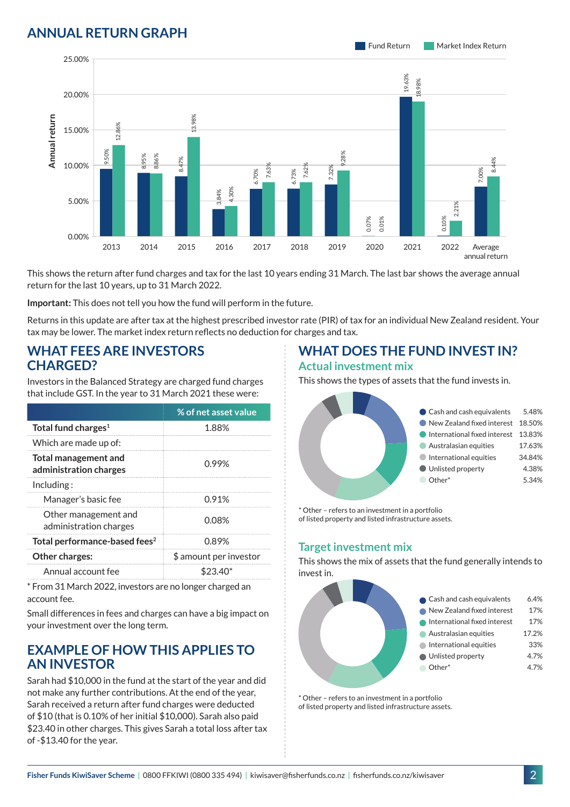### **ANNUAL RETURN GRAPH**





This shows the return after fund charges and tax for the last 10 years ending 31 March. The last bar shows the average annual return for the last 10 years, up to 31 March 2022.

**Important:** This does not tell you how the fund will perform in the future.

Returns in this update are after tax at the highest prescribed investor rate (PIR) of tax for an individual New Zealand resident. Your tax may be lower. The market index return reflects no deduction for charges and tax.

#### **WHAT FEES ARE INVESTORS CHARGED?**

Investors in the Balanced Strategy are charged fund charges that include GST. In the year to 31 March 2021 these were:

|                                                       | % of net asset value   |  |
|-------------------------------------------------------|------------------------|--|
| Total fund charges <sup>1</sup>                       | 1.88%                  |  |
| Which are made up of:                                 |                        |  |
| <b>Total management and</b><br>administration charges | 0.99%                  |  |
| Inding:                                               |                        |  |
| Manager's basic fee                                   | 0.91%                  |  |
| Other management and<br>administration charges        | 0.08%                  |  |
| Total performance-based fees <sup>2</sup>             | 0.89%                  |  |
| <b>Other charges:</b>                                 | \$ amount per investor |  |
| Annual account fee                                    | \$23.40                |  |

\* From 31 March 2022, investors are no longer charged an account fee.

Small differences in fees and charges can have a big impact on your investment over the long term.

#### **EXAMPLE OF HOW THIS APPLIES TO AN INVESTOR**

Sarah had \$10,000 in the fund at the start of the year and did not make any further contributions. At the end of the year, Sarah received a return after fund charges were deducted of \$10 (that is 0.10% of her initial \$10,000). Sarah also paid \$23.40 in other charges. This gives Sarah a total loss after tax of -\$13.40 for the year.

# **WHAT DOES THE FUND INVEST IN?**

#### **Actual investment mix**

This shows the types of assets that the fund invests in.



\* Other – refers to an investment in a portfolio of listed property and listed infrastructure assets.

#### **Target investment mix**

This shows the mix of assets that the fund generally intends to invest in.



\* Other – refers to an investment in a portfolio of listed property and listed infrastructure assets.